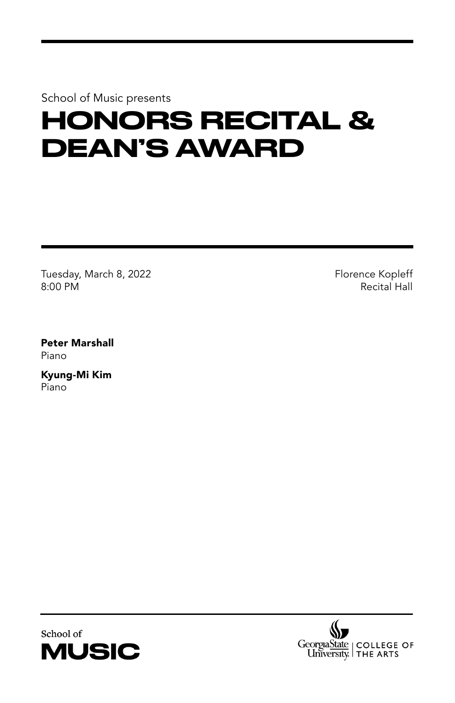School of Music presents

## HONORS RECITAL & DEAN'S AWARD

Tuesday, March 8, 2022 8:00 PM

Florence Kopleff Recital Hall

Peter Marshall Piano

Kyung-Mi Kim Piano



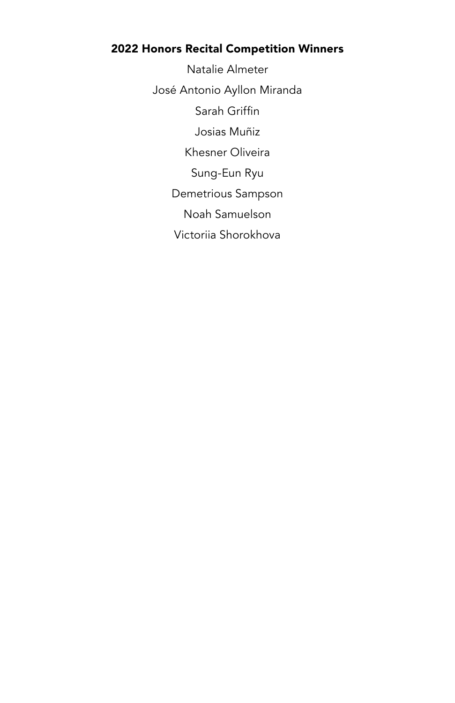## 2022 Honors Recital Competition Winners

Natalie Almeter José Antonio Ayllon Miranda Sarah Griffin Josias Muñiz Khesner Oliveira Sung-Eun Ryu Demetrious Sampson Noah Samuelson Victoriia Shorokhova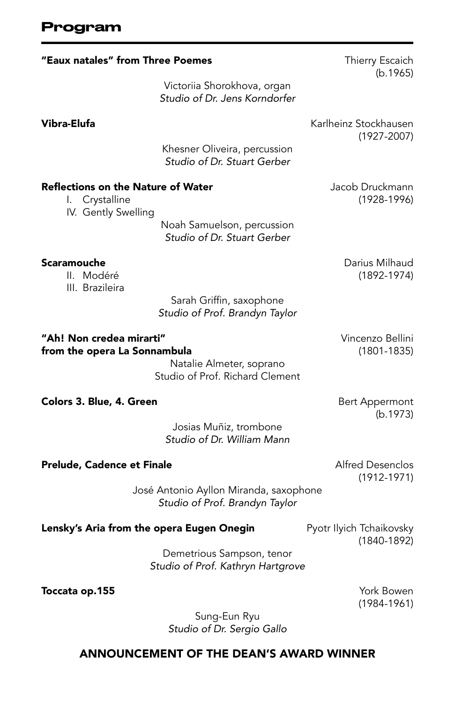| "Eaux natales" from Three Poemes                                                   | Thierry Escaich<br>(b.1965)                                              |                                             |  |
|------------------------------------------------------------------------------------|--------------------------------------------------------------------------|---------------------------------------------|--|
|                                                                                    | Victoriia Shorokhova, organ<br>Studio of Dr. Jens Korndorfer             |                                             |  |
| Vibra-Elufa                                                                        |                                                                          | Karlheinz Stockhausen<br>$(1927 - 2007)$    |  |
|                                                                                    | Khesner Oliveira, percussion<br>Studio of Dr. Stuart Gerber              |                                             |  |
| <b>Reflections on the Nature of Water</b><br>I. Crystalline<br>IV. Gently Swelling |                                                                          | Jacob Druckmann<br>$(1928 - 1996)$          |  |
|                                                                                    | Noah Samuelson, percussion<br>Studio of Dr. Stuart Gerber                |                                             |  |
| Scaramouche<br>II. Modéré<br>III. Brazileira                                       |                                                                          | Darius Milhaud<br>$(1892 - 1974)$           |  |
|                                                                                    | Sarah Griffin, saxophone<br>Studio of Prof. Brandyn Taylor               |                                             |  |
| "Ah! Non credea mirarti"<br>from the opera La Sonnambula                           | Natalie Almeter, soprano<br>Studio of Prof. Richard Clement              | Vincenzo Bellini<br>$(1801 - 1835)$         |  |
| Colors 3. Blue, 4. Green                                                           |                                                                          | Bert Appermont<br>(b.1973)                  |  |
|                                                                                    | Josias Muñiz, trombone<br>Studio of Dr. William Mann                     |                                             |  |
| Prelude, Cadence et Finale                                                         |                                                                          | <b>Alfred Desenclos</b><br>$(1912 - 1971)$  |  |
|                                                                                    | José Antonio Ayllon Miranda, saxophone<br>Studio of Prof. Brandyn Taylor |                                             |  |
| Lensky's Aria from the opera Eugen Onegin                                          |                                                                          | Pyotr Ilyich Tchaikovsky<br>$(1840 - 1892)$ |  |
|                                                                                    | Demetrious Sampson, tenor<br>Studio of Prof. Kathryn Hartgrove           |                                             |  |
| Toccata op.155                                                                     |                                                                          | York Bowen<br>$(1984 - 1961)$               |  |
|                                                                                    | Sung-Eun Ryu<br>Studio of Dr. Sergio Gallo                               |                                             |  |

## ANNOUNCEMENT OF THE DEAN'S AWARD WINNER